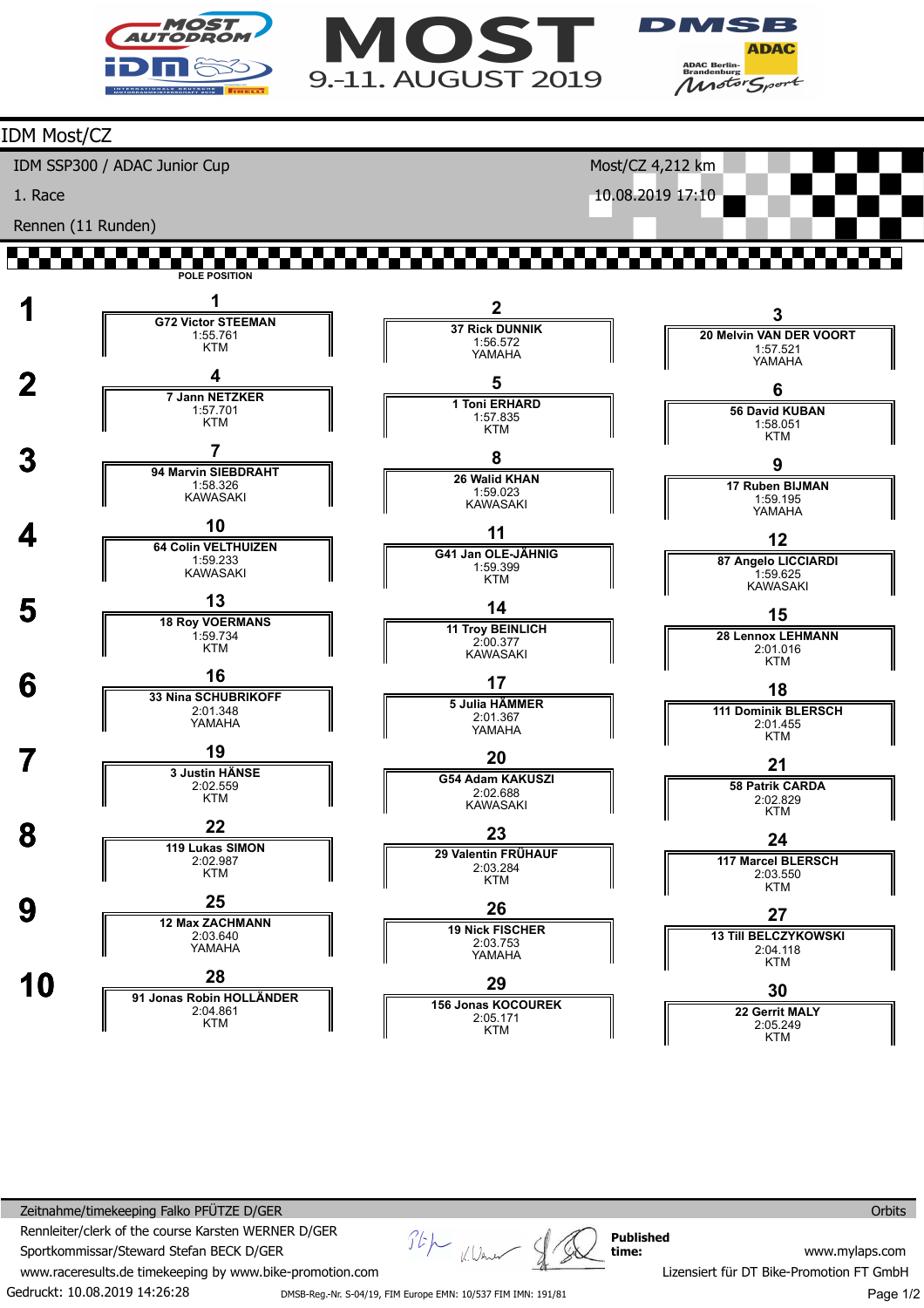





## IDM Most/CZ IDM SSP300 / ADAC Junior Cup Most/CZ 4,212 km 1. Race 10.08.2019 17:10 Rennen (11 Runden) an daerah **POLE POSITION 1 1 G72 Victor STEEMAN 2 3 37 Rick DUNNIK 20 Melvin VAN DER VOORT** 1:55.761 1:56.572 YAMAHA KTM 1:57.521 YAMAHA  $\frac{4}{7 \text{ Jann } \text{NETZKER}}$ **5 6 1 Toni ERHARD 56 David KUBAN** 1:57.701 1:57.835 **KTM** 1:58.051 KTM KTM **3** *P* 94 Marvin SIEBDRAHT **8 9 26 Walid KHAN 17 Ruben BIJMAN** 1:58.326 1:59.023 KAWASAKI 1:59.195 KAWASAKI YAMAHA **4 10**<br>**64 Colin VELTHUIZEN 11 12 G41 Jan OLE-JÄHNIG 87 Angelo LICCIARDI** 1:59.233 1:59.399 KAWASAKI 1:59.625 KAWASAKI KTM **5 13 18 Roy VOERMANS 14 15 11 Troy BEINLICH** 1:59.734 **28 Lennox LEHMANN** 2:00.377 KTM 2:01.016 KAWASAKI KTM  **6 <sup>16</sup> 33 Nina SCHUBRIKOFF 17 18 5 Julia HÄMMER** 2:01.348 **111 Dominik BLERSCH** 2:01.367 YAMAHA YAMAHA 2:01.455 **KTM 7 <sup>19</sup> 3 Justin HÄNSE 20 21 G54 Adam KAKUSZI** 2:02.559 **58 Patrik CARDA** 2:02.688 KAWASAKI KTM 2:02.829 **KTM 8 119 Lukas SIMON 23 24 29 Valentin FRÜHAUF 117 Marcel BLERSCH** 2:02.987 2:03.284 **KTM** 2:03.550 KTM KTM **9 12 Max ZACHMANN 26 27 19 Nick FISCHER 13 Till BELCZYKOWSKI** 2:03.640 YAMAHA 2:03.753 2:04.118 YAMAHA KTM  **10 <sup>28</sup> 91 Jonas Robin HOLLÄNDER 29 30 156 Jonas KOCOUREK** 2:04.861 **22 Gerrit MALY** 2:05.171 KTM KTM 2:05.249 KTM

Gedruckt: 10.08.2019 14:26:28 Zeitnahme/timekeeping Falko PFÜTZE D/GER Rennleiter/clerk of the course Karsten WERNER D/GER Sportkommissar/Steward Stefan BECK D/GER www.raceresults.de timekeeping by www.bike-promotion.com DMSB-Reg.-Nr. S-04/19, FIM Europe EMN: 10/537 FIM IMN: 191/81

Stp K. Wener **Published time:**

**Orbits** 

www.mylaps.com Lizensiert für DT Bike-Promotion FT GmbH

Page 1/2